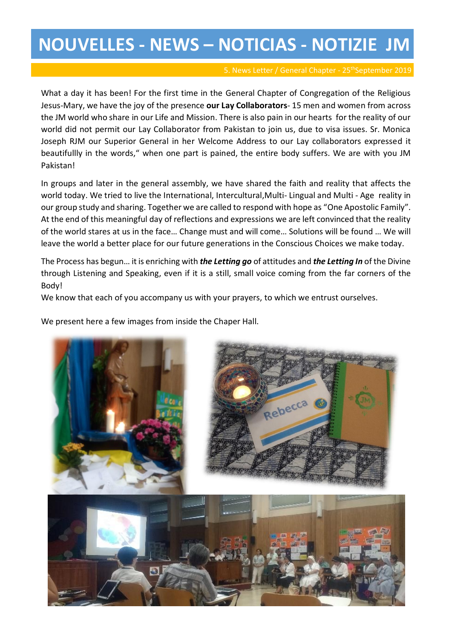## **NOUVELLES - NEWS – NOTICIAS - NOTIZIE JM**

What a day it has been! For the first time in the General Chapter of Congregation of the Religious Jesus-Mary, we have the joy of the presence **our Lay Collaborators**- 15 men and women from across the JM world who share in our Life and Mission. There is also pain in our hearts for the reality of our world did not permit our Lay Collaborator from Pakistan to join us, due to visa issues. Sr. Monica Joseph RJM our Superior General in her Welcome Address to our Lay collaborators expressed it beautifullly in the words," when one part is pained, the entire body suffers. We are with you JM Pakistan!

In groups and later in the general assembly, we have shared the faith and reality that affects the world today. We tried to live the International, Intercultural,Multi- Lingual and Multi - Age reality in our group study and sharing. Together we are called to respond with hope as "One Apostolic Family". At the end of this meaningful day of reflections and expressions we are left convinced that the reality of the world stares at us in the face… Change must and will come… Solutions will be found … We will leave the world a better place for our future generations in the Conscious Choices we make today.

The Process has begun… it is enriching with *the Letting go* of attitudes and *the Letting In* of the Divine through Listening and Speaking, even if it is a still, small voice coming from the far corners of the Body!

We know that each of you accompany us with your prayers, to which we entrust ourselves.

We present here a few images from inside the Chaper Hall.